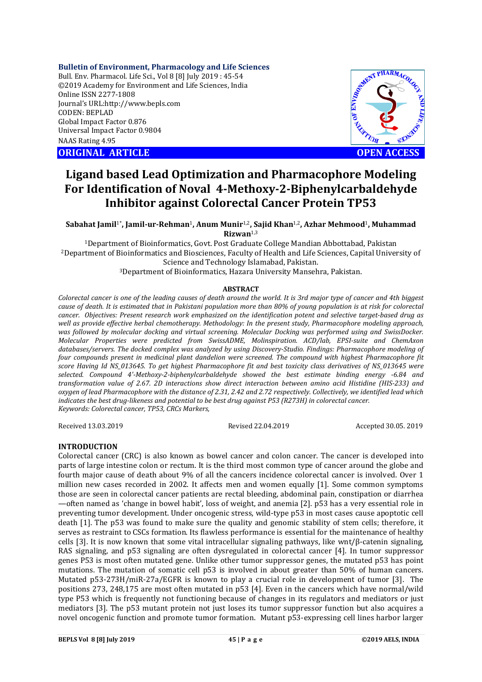## **Bulletin of Environment, Pharmacology and Life Sciences**

Bull. Env. Pharmacol. Life Sci., Vol 8 [8] July 2019 : 45-54 ©2019 Academy for Environment and Life Sciences, India Online ISSN 2277-1808 Journal's URL:http://www.bepls.com CODEN: BEPLAD Global Impact Factor 0.876 Universal Impact Factor 0.9804 NAAS Rating 4.95

**CORIGINAL ARTICLE CONSUMING ARTICLE CONSUMING ACCESS** 



# **Ligand based Lead Optimization and Pharmacophore Modeling For Identification of Noval 4-Methoxy-2-Biphenylcarbaldehyde Inhibitor against Colorectal Cancer Protein TP53**

**Sabahat Jamil**1\***, Jamil-ur-Rehman**1**, Anum Munir**1,2**, Sajid Khan**1,2**, Azhar Mehmood**1**, Muhammad Rizwan**1,3

1Department of Bioinformatics, Govt. Post Graduate College Mandian Abbottabad, Pakistan 2Department of Bioinformatics and Biosciences, Faculty of Health and Life Sciences, Capital University of Science and Technology Islamabad, Pakistan.

3Department of Bioinformatics, Hazara University Mansehra, Pakistan.

## **ABSTRACT**

*Colorectal cancer is one of the leading causes of death around the world. It is 3rd major type of cancer and 4th biggest cause of death. It is estimated that in Pakistani population more than 80% of young population is at risk for colorectal cancer. Objectives: Present research work emphasized on the identification potent and selective target-based drug as well as provide effective herbal chemotherapy. Methodology: In the present study, Pharmacophore modeling approach, was followed by molecular docking and virtual screening. Molecular Docking was performed using and SwissDocker. Molecular Properties were predicted from SwissADME, Molinspiration. ACD/lab, EPSI-suite and ChemAxon databases/servers. The docked complex was analyzed by using Discovery-Studio. Findings: Pharmacophore modeling of four compounds present in medicinal plant dandelion were screened. The compound with highest Pharmacophore fit score Having Id NS\_013645. To get highest Pharmacophore fit and best toxicity class derivatives of NS\_013645 were selected. Compound 4'-Methoxy-2-biphenylcarbaldehyde showed the best estimate binding energy -6.84 and transformation value of 2.67. 2D interactions show direct interaction between amino acid Histidine (HIS-233) and oxygen of lead Pharmacophore with the distance of 2.31, 2.42 and 2.72 respectively. Collectively, we identified lead which indicates the best drug-likeness and potential to be best drug against P53 (R273H) in colorectal cancer. Keywords: Colorectal cancer, TP53, CRCs Markers,* 

Received 13.03.2019 Revised 22.04.2019 Accepted 30.05. 2019

# **INTRODUCTION**

Colorectal cancer (CRC) is also known as bowel cancer and colon cancer. The cancer is developed into parts of large intestine colon or rectum. It is the third most common type of cancer around the globe and fourth major cause of death about 9% of all the cancers incidence colorectal cancer is involved. Over 1 million new cases recorded in 2002. It affects men and women equally [1]. Some common symptoms those are seen in colorectal cancer patients are rectal bleeding, abdominal pain, constipation or diarrhea —often named as 'change in bowel habit', loss of weight, and anemia [2]. p53 has a very essential role in preventing tumor development. Under oncogenic stress, wild-type p53 in most cases cause apoptotic cell death [1]. The p53 was found to make sure the quality and genomic stability of stem cells; therefore, it serves as restraint to CSCs formation. Its flawless performance is essential for the maintenance of healthy cells [3]. It is now known that some vital intracellular signaling pathways, like wnt/β-catenin signaling, RAS signaling, and p53 signaling are often dysregulated in colorectal cancer [4]. In tumor suppressor genes P53 is most often mutated gene. Unlike other tumor suppressor genes, the mutated p53 has point mutations. The mutation of somatic cell p53 is involved in about greater than 50% of human cancers. Mutated p53-273H/miR-27a/EGFR is known to play a crucial role in development of tumor [3]. The positions 273, 248,175 are most often mutated in p53 [4]. Even in the cancers which have normal/wild type P53 which is frequently not functioning because of changes in its regulators and mediators or just mediators [3]. The p53 mutant protein not just loses its tumor suppressor function but also acquires a novel oncogenic function and promote tumor formation. Mutant p53-expressing cell lines harbor larger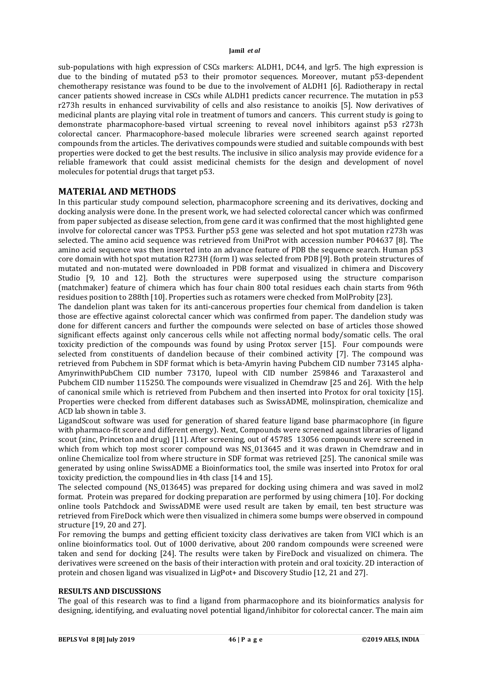sub-populations with high expression of CSCs markers: ALDH1, DC44, and lgr5. The high expression is due to the binding of mutated p53 to their promotor sequences. Moreover, mutant p53-dependent chemotherapy resistance was found to be due to the involvement of ALDH1 [6]. Radiotherapy in rectal cancer patients showed increase in CSCs while ALDH1 predicts cancer recurrence. The mutation in p53 r273h results in enhanced survivability of cells and also resistance to anoikis [5]. Now derivatives of medicinal plants are playing vital role in treatment of tumors and cancers. This current study is going to demonstrate pharmacophore-based virtual screening to reveal novel inhibitors against p53 r273h colorectal cancer. Pharmacophore-based molecule libraries were screened search against reported compounds from the articles. The derivatives compounds were studied and suitable compounds with best properties were docked to get the best results. The inclusive in silico analysis may provide evidence for a reliable framework that could assist medicinal chemists for the design and development of novel molecules for potential drugs that target p53.

# **MATERIAL AND METHODS**

In this particular study compound selection, pharmacophore screening and its derivatives, docking and docking analysis were done. In the present work, we had selected colorectal cancer which was confirmed from paper subjected as disease selection, from gene card it was confirmed that the most highlighted gene involve for colorectal cancer was TP53. Further p53 gene was selected and hot spot mutation r273h was selected. The amino acid sequence was retrieved from UniProt with accession number P04637 [8]. The amino acid sequence was then inserted into an advance feature of PDB the sequence search. Human p53 core domain with hot spot mutation R273H (form I) was selected from PDB [9]. Both protein structures of mutated and non-mutated were downloaded in PDB format and visualized in chimera and Discovery Studio [9, 10 and 12]. Both the structures were superposed using the structure comparison (matchmaker) feature of chimera which has four chain 800 total residues each chain starts from 96th residues position to 288th [10]. Properties such as rotamers were checked from MolProbity [23].

The dandelion plant was taken for its anti-cancerous properties four chemical from dandelion is taken those are effective against colorectal cancer which was confirmed from paper. The dandelion study was done for different cancers and further the compounds were selected on base of articles those showed significant effects against only cancerous cells while not affecting normal body/somatic cells. The oral toxicity prediction of the compounds was found by using Protox server [15]. Four compounds were selected from constituents of dandelion because of their combined activity [7]. The compound was retrieved from Pubchem in SDF format which is beta-Amyrin having Pubchem CID number 73145 alpha-AmyrinwithPubChem CID number 73170, lupeol with CID number 259846 and Taraxasterol and Pubchem CID number 115250. The compounds were visualized in Chemdraw [25 and 26]. With the help of canonical smile which is retrieved from Pubchem and then inserted into Protox for oral toxicity [15]. Properties were checked from different databases such as SwissADME, molinspiration, chemicalize and ACD lab shown in table 3.

LigandScout software was used for generation of shared feature ligand base pharmacophore (in figure with pharmaco-fit score and different energy). Next, Compounds were screened against libraries of ligand scout (zinc, Princeton and drug) [11]. After screening, out of 45785 13056 compounds were screened in which from which top most scorer compound was NS 013645 and it was drawn in Chemdraw and in online Chemicalize tool from where structure in SDF format was retrieved [25]. The canonical smile was generated by using online SwissADME a Bioinformatics tool, the smile was inserted into Protox for oral toxicity prediction, the compound lies in 4th class [14 and 15].

The selected compound (NS\_013645) was prepared for docking using chimera and was saved in mol2 format. Protein was prepared for docking preparation are performed by using chimera [10]. For docking online tools Patchdock and SwissADME were used result are taken by email, ten best structure was retrieved from FireDock which were then visualized in chimera some bumps were observed in compound structure [19, 20 and 27].

For removing the bumps and getting efficient toxicity class derivatives are taken from VICI which is an online bioinformatics tool. Out of 1000 derivative, about 200 random compounds were screened were taken and send for docking [24]. The results were taken by FireDock and visualized on chimera. The derivatives were screened on the basis of their interaction with protein and oral toxicity. 2D interaction of protein and chosen ligand was visualized in LigPot+ and Discovery Studio [12, 21 and 27].

## **RESULTS AND DISCUSSIONS**

The goal of this research was to find a ligand from pharmacophore and its bioinformatics analysis for designing, identifying, and evaluating novel potential ligand/inhibitor for colorectal cancer. The main aim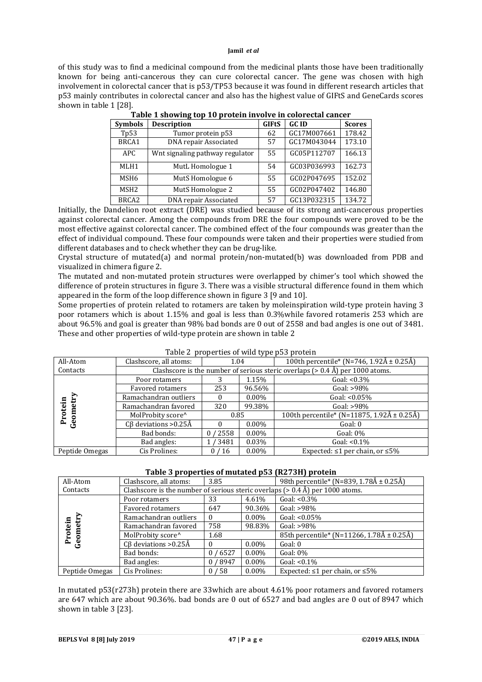of this study was to find a medicinal compound from the medicinal plants those have been traditionally known for being anti-cancerous they can cure colorectal cancer. The gene was chosen with high involvement in colorectal cancer that is p53/TP53 because it was found in different research articles that p53 mainly contributes in colorectal cancer and also has the highest value of GIFtS and GeneCards scores shown in table 1 [28].

| <b>Symbols</b>   | <b>Description</b>              | <b>GIFtS</b> | <b>GCID</b> | <b>Scores</b> |
|------------------|---------------------------------|--------------|-------------|---------------|
| Tp53             | Tumor protein p53               | 62           | GC17M007661 | 178.42        |
| BRCA1            | DNA repair Associated           | 57           | GC17M043044 | 173.10        |
| APC.             | Wnt signaling pathway regulator |              | GC05P112707 | 166.13        |
| MLH1             | MutL Homologue 1                |              | GC03P036993 | 162.73        |
| MSH <sub>6</sub> | MutS Homologue 6                |              | GC02P047695 | 152.02        |
| MSH <sub>2</sub> | MutS Homologue 2                |              | GC02P047402 | 146.80        |
| BRCA2            | DNA repair Associated           |              | GC13P032315 | 134.72        |

| Table 1 showing top 10 protein involve in colorectal cancer |  |  |
|-------------------------------------------------------------|--|--|
|                                                             |  |  |

Initially, the Dandelion root extract (DRE) was studied because of its strong anti-cancerous properties against colorectal cancer. Among the compounds from DRE the four compounds were proved to be the most effective against colorectal cancer. The combined effect of the four compounds was greater than the effect of individual compound. These four compounds were taken and their properties were studied from different databases and to check whether they can be drug-like.

Crystal structure of mutated(a) and normal protein/non-mutated(b) was downloaded from PDB and visualized in chimera figure 2.

The mutated and non-mutated protein structures were overlapped by chimer's tool which showed the difference of protein structures in figure 3. There was a visible structural difference found in them which appeared in the form of the loop difference shown in figure 3 [9 and 10].

Some properties of protein related to rotamers are taken by moleinspiration wild-type protein having 3 poor rotamers which is about 1.15% and goal is less than 0.3%while favored rotameris 253 which are about 96.5% and goal is greater than 98% bad bonds are 0 out of 2558 and bad angles is one out of 3481. These and other properties of wild-type protein are shown in table 2

| All-Atom       | Clashscore, all atoms:     | 1.04       |          | 100th percentile* (N=746, 1.92Å $\pm$ 0.25Å)                                     |  |  |  |
|----------------|----------------------------|------------|----------|----------------------------------------------------------------------------------|--|--|--|
| Contacts       |                            |            |          | Clashscore is the number of serious steric overlaps ( $> 0.4$ Å) per 1000 atoms. |  |  |  |
|                | Poor rotamers              |            | 1.15%    | Goal: $< 0.3\%$                                                                  |  |  |  |
|                | Favored rotamers           | 253        | 96.56%   | Goal: $>98\%$                                                                    |  |  |  |
|                | Ramachandran outliers      |            | $0.00\%$ | Goal: $< 0.05\%$                                                                 |  |  |  |
| otein          | Ramachandran favored       | 320        | 99.38%   | Goal: $>98\%$                                                                    |  |  |  |
| Geom           | MolProbity score^          | 0.85       |          | 100th percentile* (N=11875, 1.92Å ± 0.25Å)                                       |  |  |  |
| Ě              | $C\beta$ deviations >0.25Å |            | $0.00\%$ | Goal: 0                                                                          |  |  |  |
|                | Bad bonds:                 | 2558<br>0. | $0.00\%$ | Goal: $0\%$                                                                      |  |  |  |
|                | Bad angles:                | 1/3481     | $0.03\%$ | Goal: $< 0.1\%$                                                                  |  |  |  |
| Peptide Omegas | Cis Prolines:              | 0/16       | $0.00\%$ | Expected: $\leq 1$ per chain, or $\leq 5\%$                                      |  |  |  |

|  | Table 2 properties of wild type p53 protein |  |  |  |
|--|---------------------------------------------|--|--|--|
|--|---------------------------------------------|--|--|--|

## **Table 3 properties of mutated p53 (R273H) protein**

| All-Atom         | Clashscore, all atoms:     | 3.85   |          | 98th percentile* (N=839, 1.78Å ± 0.25Å)                                          |
|------------------|----------------------------|--------|----------|----------------------------------------------------------------------------------|
| Contacts         |                            |        |          | Clashscore is the number of serious steric overlaps ( $> 0.4$ Å) per 1000 atoms. |
|                  | Poor rotamers              | 33     | 4.61%    | Goal: $< 0.3\%$                                                                  |
|                  | Favored rotamers           | 647    | 90.36%   | Goal: $>98\%$                                                                    |
|                  | Ramachandran outliers<br>0 |        | $0.00\%$ | Goal: $< 0.05\%$                                                                 |
| metry<br>Protein | Ramachandran favored       | 758    | 98.83%   | Goal: $>98\%$                                                                    |
|                  | MolProbity score^          | 1.68   |          | 85th percentile* (N=11266, 1.78Å ± 0.25Å)                                        |
| Geoi             | $C\beta$ deviations >0.25Å |        | $0.00\%$ | Goal: 0                                                                          |
|                  | Bad bonds:                 | 0/6527 | $0.00\%$ | Goal: $0\%$                                                                      |
|                  | Bad angles:                | 0/8947 | $0.00\%$ | Goal: $< 0.1\%$                                                                  |
| Peptide Omegas   | Cis Prolines:              | 0/58   | $0.00\%$ | Expected: $\leq 1$ per chain, or $\leq 5\%$                                      |

In mutated p53(r273h) protein there are 33which are about 4.61% poor rotamers and favored rotamers are 647 which are about 90.36%. bad bonds are 0 out of 6527 and bad angles are 0 out of 8947 which shown in table 3 [23].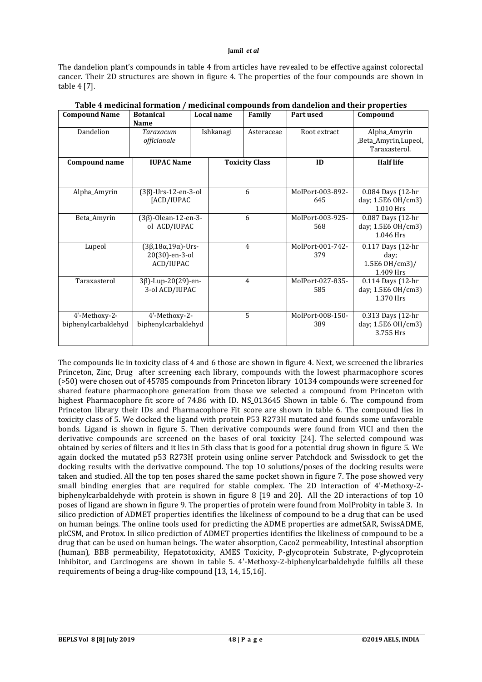The dandelion plant's compounds in table 4 from articles have revealed to be effective against colorectal cancer. Their 2D structures are shown in figure 4. The properties of the four compounds are shown in table 4 [7].

| <b>Compound Name</b>                 | <b>Botanical</b>                                                    |                                          | Local name | Family                | Part used               | Compound                                                 |
|--------------------------------------|---------------------------------------------------------------------|------------------------------------------|------------|-----------------------|-------------------------|----------------------------------------------------------|
|                                      | <b>Name</b>                                                         |                                          |            |                       |                         |                                                          |
| Dandelion                            | Taraxacum<br>officianale                                            |                                          | Ishkanagi  | Asteraceae            | Root extract            | Alpha_Amyrin<br>,Beta_Amyrin,Lupeol,<br>Taraxasterol.    |
| <b>Compound name</b>                 | <b>IUPAC Name</b>                                                   |                                          |            | <b>Toxicity Class</b> | ID                      | <b>Half life</b>                                         |
|                                      |                                                                     |                                          |            |                       |                         |                                                          |
| Alpha_Amyrin                         |                                                                     | $(3\beta)$ -Urs-12-en-3-ol<br>[ACD/IUPAC |            | 6                     | MolPort-003-892-<br>645 | 0.084 Days (12-hr<br>day; 1.5E6 OH/cm3)<br>1.010 Hrs     |
| Beta_Amyrin                          | $(3\beta)$ -Olean-12-en-3-<br>ol ACD/IUPAC                          | 6                                        |            |                       | MolPort-003-925-<br>568 | 0.087 Days (12-hr<br>day; 1.5E6 OH/cm3)<br>1.046 Hrs     |
| Lupeol                               | $(3\beta, 18\alpha, 19\alpha)$ -Urs-<br>20(30)-en-3-ol<br>ACD/IUPAC |                                          | 4          |                       | MolPort-001-742-<br>379 | 0.117 Days (12-hr<br>day;<br>1.5E6 OH/cm3)/<br>1.409 Hrs |
| Taraxasterol                         |                                                                     | 3β)-Lup-20(29)-en-<br>3-ol ACD/IUPAC     |            | $\overline{4}$        |                         | 0.114 Days (12-hr<br>day; 1.5E6 OH/cm3)<br>1.370 Hrs     |
| 4'-Methoxy-2-<br>biphenylcarbaldehyd | 4'-Methoxy-2-<br>biphenylcarbaldehyd                                |                                          | 5          |                       | MolPort-008-150-<br>389 | 0.313 Days (12-hr<br>day; 1.5E6 OH/cm3)<br>3.755 Hrs     |

| Table 4 medicinal formation / medicinal compounds from dandelion and their properties |  |  |  |
|---------------------------------------------------------------------------------------|--|--|--|
|                                                                                       |  |  |  |

The compounds lie in toxicity class of 4 and 6 those are shown in figure 4. Next, we screened the libraries Princeton, Zinc, Drug after screening each library, compounds with the lowest pharmacophore scores (>50) were chosen out of 45785 compounds from Princeton library 10134 compounds were screened for shared feature pharmacophore generation from those we selected a compound from Princeton with highest Pharmacophore fit score of 74.86 with ID. NS 013645 Shown in table 6. The compound from Princeton library their IDs and Pharmacophore Fit score are shown in table 6. The compound lies in toxicity class of 5. We docked the ligand with protein P53 R273H mutated and founds some unfavorable bonds. Ligand is shown in figure 5. Then derivative compounds were found from VICI and then the derivative compounds are screened on the bases of oral toxicity [24]. The selected compound was obtained by series of filters and it lies in 5th class that is good for a potential drug shown in figure 5. We again docked the mutated p53 R273H protein using online server Patchdock and Swissdock to get the docking results with the derivative compound. The top 10 solutions/poses of the docking results were taken and studied. All the top ten poses shared the same pocket shown in figure 7. The pose showed very small binding energies that are required for stable complex. The 2D interaction of 4'-Methoxy-2biphenylcarbaldehyde with protein is shown in figure 8 [19 and 20]. All the 2D interactions of top 10 poses of ligand are shown in figure 9. The properties of protein were found from MolProbity in table 3. In silico prediction of ADMET properties identifies the likeliness of compound to be a drug that can be used on human beings. The online tools used for predicting the ADME properties are admetSAR, SwissADME, pkCSM, and Protox. In silico prediction of ADMET properties identifies the likeliness of compound to be a drug that can be used on human beings. The water absorption, Caco2 permeability, Intestinal absorption (human), BBB permeability, Hepatotoxicity, AMES Toxicity, P-glycoprotein Substrate, P-glycoprotein Inhibitor, and Carcinogens are shown in table 5. 4'-Methoxy-2-biphenylcarbaldehyde fulfills all these requirements of being a drug-like compound [13, 14, 15,16].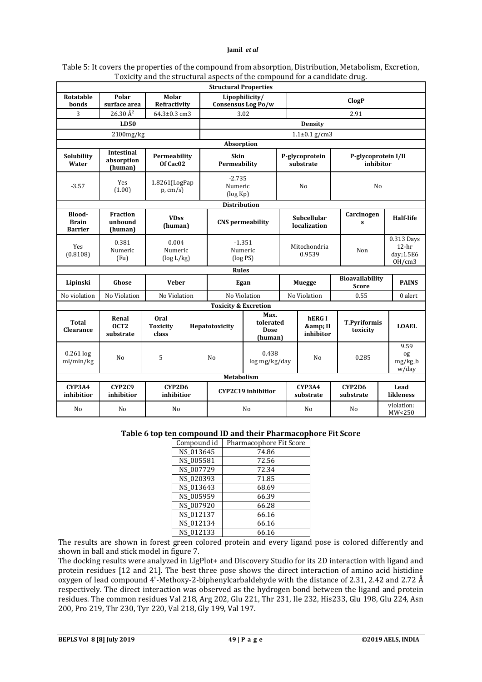| Table 5: It covers the properties of the compound from absorption, Distribution, Metabolism, Excretion, |  |
|---------------------------------------------------------------------------------------------------------|--|
| Toxicity and the structural aspects of the compound for a candidate drug.                               |  |

|                                          | <b>Structural Properties</b>               |                                         |                          |                                                               |                                                                  |  |                                   |                                               |                             |                                  |  |                  |
|------------------------------------------|--------------------------------------------|-----------------------------------------|--------------------------|---------------------------------------------------------------|------------------------------------------------------------------|--|-----------------------------------|-----------------------------------------------|-----------------------------|----------------------------------|--|------------------|
| Rotatable<br>bonds                       | Polar<br>surface area                      | Molar<br>Refractivity                   |                          |                                                               | Lipophilicity/<br>Consensus Log Po/w                             |  | <b>ClogP</b>                      |                                               |                             |                                  |  |                  |
| 3                                        | 26.30 Å <sup>2</sup>                       | 64.3±0.3 cm3                            |                          |                                                               | 3.02                                                             |  |                                   | 2.91                                          |                             |                                  |  |                  |
|                                          | <b>LD50</b>                                |                                         |                          |                                                               |                                                                  |  | <b>Density</b>                    |                                               |                             |                                  |  |                  |
|                                          | $2100$ mg/kg                               |                                         |                          |                                                               |                                                                  |  | $1.1 \pm 0.1$ g/cm3               |                                               |                             |                                  |  |                  |
|                                          |                                            |                                         |                          | Absorption                                                    |                                                                  |  |                                   |                                               |                             |                                  |  |                  |
| Solubility<br>Water                      | <b>Intestinal</b><br>absorption<br>(human) | Permeability<br>Of Cac <sub>02</sub>    |                          | <b>Skin</b><br>Permeability                                   |                                                                  |  | P-glycoprotein<br>substrate       | P-glycoprotein I/II<br>inhibitor              |                             |                                  |  |                  |
| $-3.57$                                  | Yes<br>(1.00)                              |                                         | 1.8261(LogPap<br>p, cm/s |                                                               | $-2.735$<br>Numeric<br>(log Kp)                                  |  | No                                |                                               | No                          |                                  |  |                  |
|                                          |                                            |                                         |                          | <b>Distribution</b>                                           |                                                                  |  |                                   |                                               |                             |                                  |  |                  |
| Blood-<br><b>Brain</b><br><b>Barrier</b> | <b>Fraction</b><br>unbound<br>(human)      | <b>VDss</b><br>(human)                  |                          | <b>CNS</b> permeability                                       |                                                                  |  |                                   |                                               | Subcellular<br>localization | Carcinogen<br>S                  |  | <b>Half-life</b> |
| Yes<br>(0.8108)                          | 0.381<br>Numeric<br>(Fu)                   | 0.004<br>Numeric<br>$(\log L/kg)$       |                          |                                                               | $-1.351$<br>Mitochondria<br>Numeric<br>Non<br>0.9539<br>(log PS) |  |                                   | 0.313 Days<br>$12-hr$<br>day; 1.5E6<br>OH/cm3 |                             |                                  |  |                  |
|                                          |                                            |                                         |                          | <b>Rules</b>                                                  |                                                                  |  |                                   |                                               |                             |                                  |  |                  |
| Lipinski                                 | Ghose                                      | <b>Veber</b>                            |                          | Egan                                                          |                                                                  |  | <b>Muegge</b>                     | Bioavailability<br><b>Score</b>               |                             | <b>PAINS</b>                     |  |                  |
| No violation                             | No Violation                               | No Violation                            |                          |                                                               | No Violation                                                     |  | No Violation                      | 0.55                                          |                             | $0$ alert                        |  |                  |
|                                          |                                            |                                         |                          | <b>Toxicity &amp; Excretion</b>                               |                                                                  |  |                                   |                                               |                             |                                  |  |                  |
| <b>Total</b><br><b>Clearance</b>         | Renal<br>OCT <sub>2</sub><br>substrate     | <b>Oral</b><br><b>Toxicity</b><br>class |                          | Max.<br>tolerated<br>Hepatotoxicity<br><b>Dose</b><br>(human) |                                                                  |  | <b>hERGI</b><br>& II<br>inhibitor | <b>T.Pyriformis</b><br>toxicity               |                             | <b>LOAEL</b>                     |  |                  |
| $0.261$ log<br>ml/min/kg                 | No                                         | 5                                       |                          | 0.438<br>No<br>log mg/kg/day                                  |                                                                  |  | N <sub>o</sub>                    | 0.285                                         |                             | 9.59<br>og<br>$mg/kg_b$<br>w/day |  |                  |
|                                          |                                            |                                         |                          | Metabolism                                                    |                                                                  |  |                                   |                                               |                             |                                  |  |                  |
| <b>CYP3A4</b><br>inhibitior              | <b>CYP2C9</b><br>inhibitior                | CYP2D6<br>inhibitior                    |                          |                                                               | <b>CYP2C19</b> inhibitior                                        |  | CYP3A4<br>substrate               | CYP2D6<br>substrate                           |                             | Lead<br>likleness                |  |                  |
| No                                       | N <sub>0</sub>                             | N <sub>0</sub>                          |                          | N <sub>o</sub>                                                |                                                                  |  | N <sub>0</sub>                    | No                                            |                             | violation:<br>MW<250             |  |                  |

## **Table 6 top ten compound ID and their Pharmacophore Fit Score**

| Compound id | Pharmacophore Fit Score |
|-------------|-------------------------|
| NS_013645   | 74.86                   |
| NS_005581   | 72.56                   |
| NS_007729   | 72.34                   |
| NS_020393   | 71.85                   |
| NS_013643   | 68.69                   |
| NS_005959   | 66.39                   |
| NS_007920   | 66.28                   |
| NS_012137   | 66.16                   |
| NS_012134   | 66.16                   |
| NS_012133   | 66.16                   |

The results are shown in forest green colored protein and every ligand pose is colored differently and shown in ball and stick model in figure 7.

The docking results were analyzed in LigPlot+ and Discovery Studio for its 2D interaction with ligand and protein residues [12 and 21]. The best three pose shows the direct interaction of amino acid histidine oxygen of lead compound 4'-Methoxy-2-biphenylcarbaldehyde with the distance of 2.31, 2.42 and 2.72 Å respectively. The direct interaction was observed as the hydrogen bond between the ligand and protein residues. The common residues Val 218, Arg 202, Glu 221, Thr 231, Ile 232, His233, Glu 198, Glu 224, Asn 200, Pro 219, Thr 230, Tyr 220, Val 218, Gly 199, Val 197.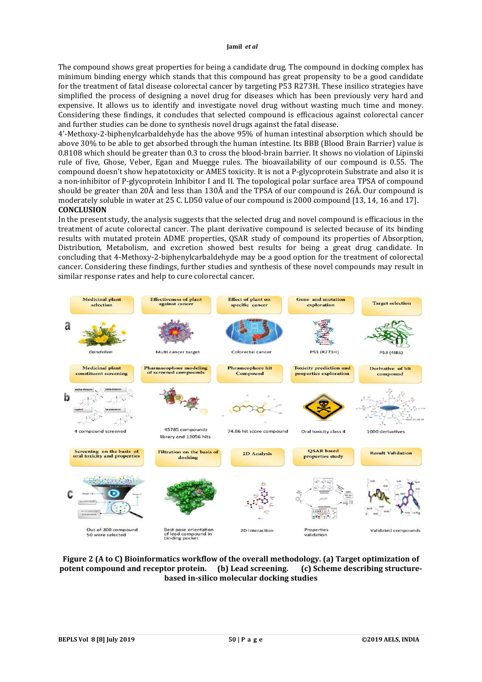The compound shows great properties for being a candidate drug. The compound in docking complex has minimum binding energy which stands that this compound has great propensity to be a good candidate for the treatment of fatal disease colorectal cancer by targeting P53 R273H. These insilico strategies have simplified the process of designing a novel drug for diseases which has been previously very hard and expensive. It allows us to identify and investigate novel drug without wasting much time and money. Considering these findings, it concludes that selected compound is efficacious against colorectal cancer and further studies can be done to synthesis novel drugs against the fatal disease.

4'-Methoxy-2-biphenylcarbaldehyde has the above 95% of human intestinal absorption which should be above 30% to be able to get absorbed through the human intestine. Its BBB (Blood Brain Barrier) value is 0.8108 which should be greater than 0.3 to cross the blood-brain barrier. It shows no violation of Lipinski rule of five, Ghose, Veber, Egan and Muegge rules. The bioavailability of our compound is 0.55. The compound doesn't show hepatotoxicity or AMES toxicity. It is not a P-glycoprotein Substrate and also it is a non-inhibitor of P-glycoprotein Inhibitor I and II. The topological polar surface area TPSA of compound should be greater than 20Å and less than 130Å and the TPSA of our compound is 26Å. Our compound is moderately soluble in water at 25 C. LD50 value of our compound is 2000 compound [13, 14, 16 and 17]. **CONCLUSION**

In the present study, the analysis suggests that the selected drug and novel compound is efficacious in the treatment of acute colorectal cancer. The plant derivative compound is selected because of its binding results with mutated protein ADME properties, QSAR study of compound its properties of Absorption, Distribution, Metabolism, and excretion showed best results for being a great drug candidate. In concluding that 4-Methoxy-2-biphenylcarbaldehyde may be a good option for the treatment of colorectal cancer. Considering these findings, further studies and synthesis of these novel compounds may result in similar response rates and help to cure colorectal cancer.



**Figure 2 (A to C) Bioinformatics workflow of the overall methodology. (a) Target optimization of potent compound and receptor protein. (b) Lead screening. (c) Scheme describing structurebased in-silico molecular docking studies**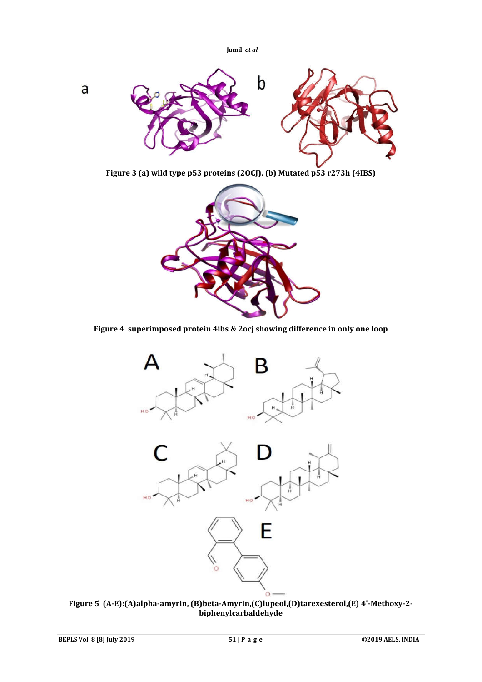

**Figure 3 (a) wild type p53 proteins (2OCJ). (b) Mutated p53 r273h (4IBS)**



**Figure 4 superimposed protein 4ibs & 2ocj showing difference in only one loop**



**Figure 5 (A-E):(A)alpha-amyrin, (B)beta-Amyrin,(C)lupeol,(D)tarexesterol,(E) 4'-Methoxy-2 biphenylcarbaldehyde**

a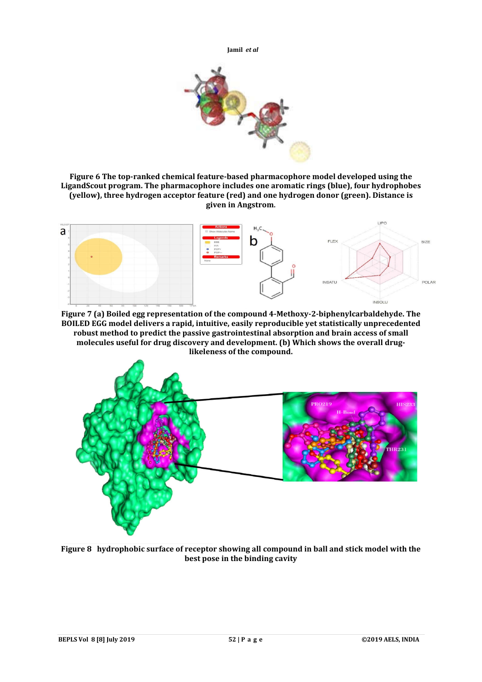

**Figure 6 The top-ranked chemical feature-based pharmacophore model developed using the LigandScout program. The pharmacophore includes one aromatic rings (blue), four hydrophobes (yellow), three hydrogen acceptor feature (red) and one hydrogen donor (green). Distance is given in Angstrom.**



**Figure 7 (a) Boiled egg representation of the compound 4-Methoxy-2-biphenylcarbaldehyde. The BOILED EGG model delivers a rapid, intuitive, easily reproducible yet statistically unprecedented robust method to predict the passive gastrointestinal absorption and brain access of small molecules useful for drug discovery and development. (b) Which shows the overall druglikeleness of the compound.**



**Figure 8 hydrophobic surface of receptor showing all compound in ball and stick model with the best pose in the binding cavity**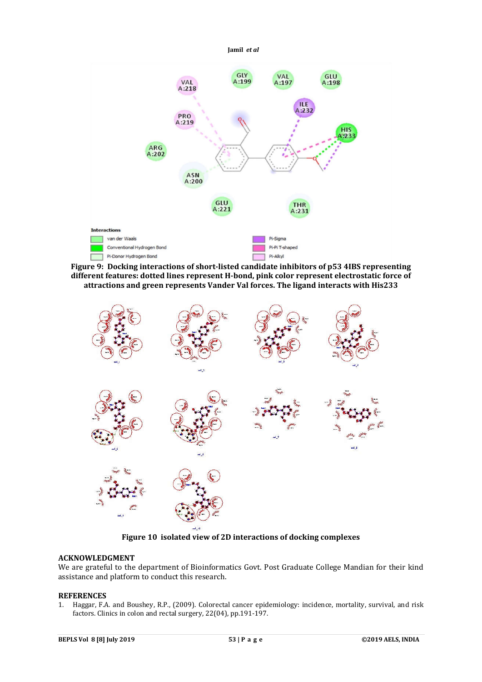

**Figure 9: Docking interactions of short-listed candidate inhibitors of p53 4IBS representing different features: dotted lines represent H-bond, pink color represent electrostatic force of attractions and green represents Vander Val forces. The ligand interacts with His233**



**Figure 10 isolated view of 2D interactions of docking complexes**

# **ACKNOWLEDGMENT**

We are grateful to the department of Bioinformatics Govt. Post Graduate College Mandian for their kind assistance and platform to conduct this research.

## **REFERENCES**

1. Haggar, F.A. and Boushey, R.P., (2009). Colorectal cancer epidemiology: incidence, mortality, survival, and risk factors. Clinics in colon and rectal surgery, 22(04), pp.191-197.